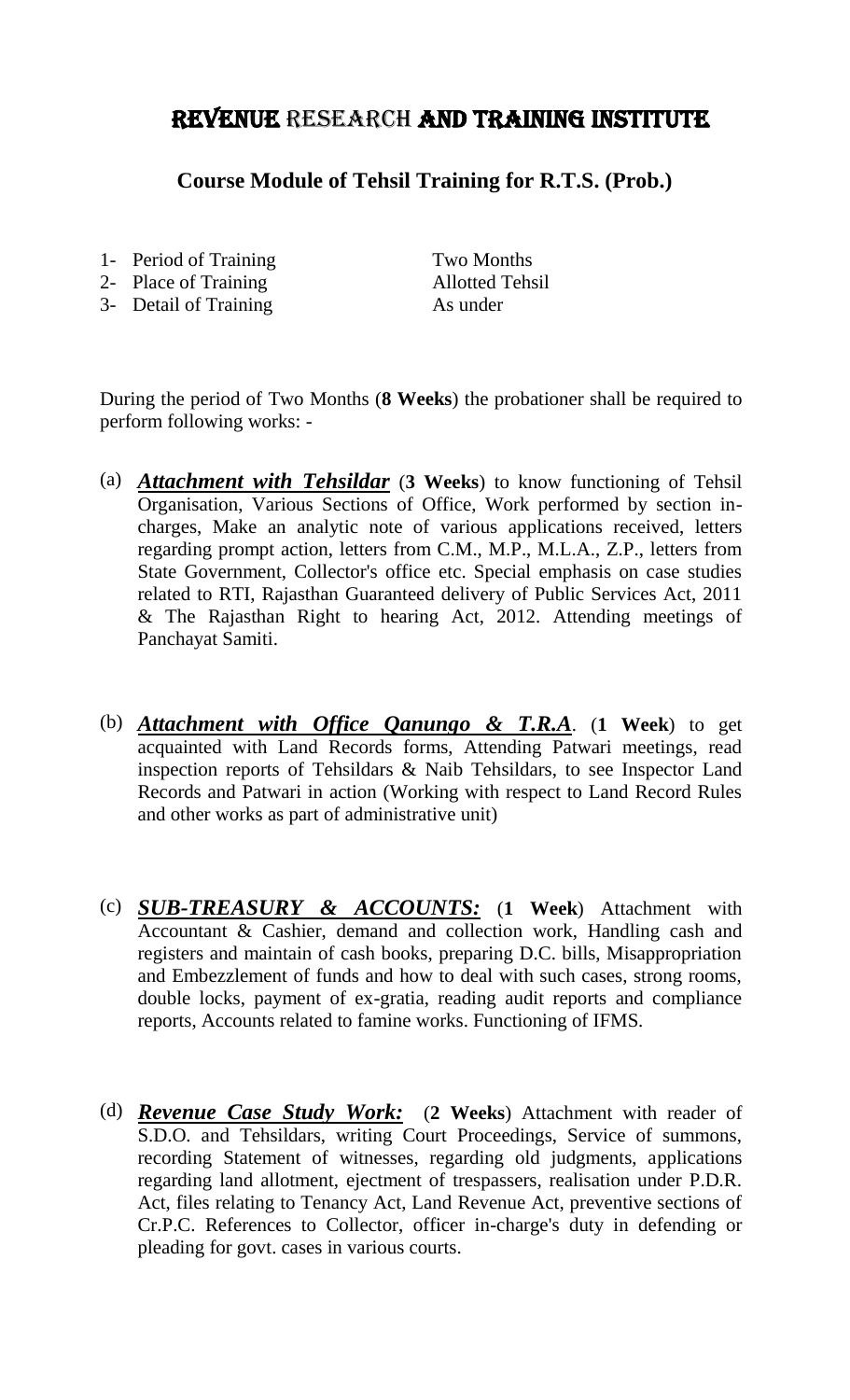## Revenue Research and Training Institute

**Course Module of Tehsil Training for R.T.S. (Prob.)**

- 1- Period of Training Two Months
- 2- Place of Training Allotted Tehsil
- 3- Detail of Training As under

During the period of Two Months (**8 Weeks**) the probationer shall be required to perform following works: -

- (a) *Attachment with Tehsildar* (**3 Weeks**) to know functioning of Tehsil Organisation, Various Sections of Office, Work performed by section incharges, Make an analytic note of various applications received, letters regarding prompt action, letters from C.M., M.P., M.L.A., Z.P., letters from State Government, Collector's office etc. Special emphasis on case studies related to RTI, Rajasthan Guaranteed delivery of Public Services Act, 2011 & The Rajasthan Right to hearing Act, 2012. Attending meetings of Panchayat Samiti.
- (b) *Attachment with Office Qanungo & T.R.A*. (**1 Week**) to get acquainted with Land Records forms, Attending Patwari meetings, read inspection reports of Tehsildars & Naib Tehsildars, to see Inspector Land Records and Patwari in action (Working with respect to Land Record Rules and other works as part of administrative unit)
- (c) *SUB-TREASURY & ACCOUNTS:* (**1 Week**) Attachment with Accountant & Cashier, demand and collection work, Handling cash and registers and maintain of cash books, preparing D.C. bills, Misappropriation and Embezzlement of funds and how to deal with such cases, strong rooms, double locks, payment of ex-gratia, reading audit reports and compliance reports, Accounts related to famine works. Functioning of IFMS.
- (d) *Revenue Case Study Work:* (**2 Weeks**) Attachment with reader of S.D.O. and Tehsildars, writing Court Proceedings, Service of summons, recording Statement of witnesses, regarding old judgments, applications regarding land allotment, ejectment of trespassers, realisation under P.D.R. Act, files relating to Tenancy Act, Land Revenue Act, preventive sections of Cr.P.C. References to Collector, officer in-charge's duty in defending or pleading for govt. cases in various courts.